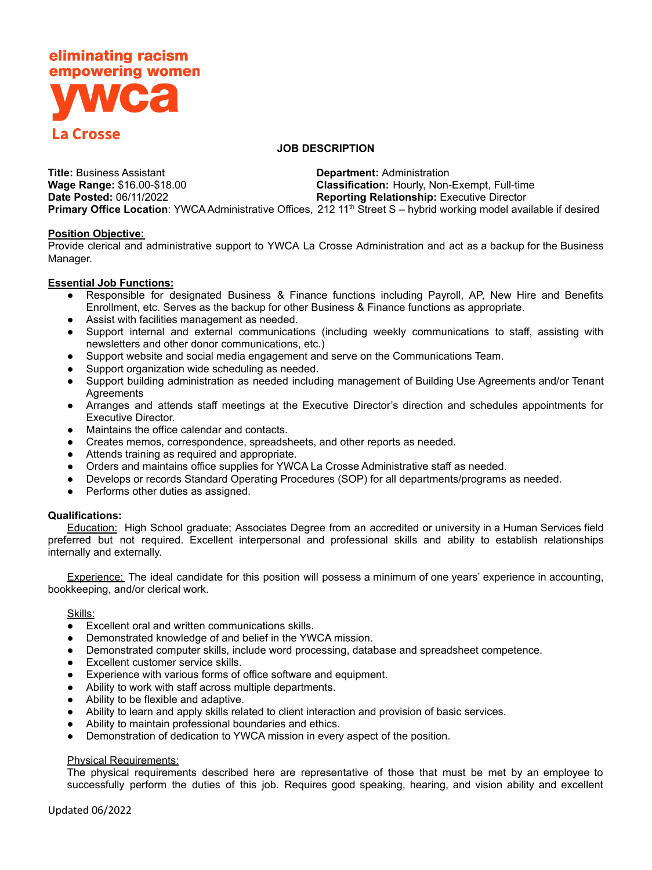# eliminating racism empowering women **La Crosse**

## **JOB DESCRIPTION**

**Title:** Business Assistant **Department:** Administration **Wage Range:** \$16.00-\$18.00 **Classification:** Hourly, Non-Exempt, Full-time **Date Posted:** 06/11/2022 **Reporting Relationship:** Executive Director Primary Office Location: YWCA Administrative Offices, 212 11<sup>th</sup> Street S - hybrid working model available if desired

### **Position Objective:**

Provide clerical and administrative support to YWCA La Crosse Administration and act as a backup for the Business Manager.

### **Essential Job Functions:**

- Responsible for designated Business & Finance functions including Payroll, AP, New Hire and Benefits Enrollment, etc. Serves as the backup for other Business & Finance functions as appropriate.
- Assist with facilities management as needed.
- Support internal and external communications (including weekly communications to staff, assisting with newsletters and other donor communications, etc.)
- Support website and social media engagement and serve on the Communications Team.
- Support organization wide scheduling as needed.
- Support building administration as needed including management of Building Use Agreements and/or Tenant **Agreements**
- Arranges and attends staff meetings at the Executive Director's direction and schedules appointments for Executive Director.
- Maintains the office calendar and contacts.
- Creates memos, correspondence, spreadsheets, and other reports as needed.
- Attends training as required and appropriate.
- Orders and maintains office supplies for YWCA La Crosse Administrative staff as needed.
- Develops or records Standard Operating Procedures (SOP) for all departments/programs as needed.
- Performs other duties as assigned.

## **Qualifications:**

Education: High School graduate; Associates Degree from an accredited or university in a Human Services field preferred but not required. Excellent interpersonal and professional skills and ability to establish relationships internally and externally.

Experience: The ideal candidate for this position will possess a minimum of one years' experience in accounting, bookkeeping, and/or clerical work.

#### Skills:

- Excellent oral and written communications skills.
- Demonstrated knowledge of and belief in the YWCA mission.
- Demonstrated computer skills, include word processing, database and spreadsheet competence.
- Excellent customer service skills.
- Experience with various forms of office software and equipment.
- Ability to work with staff across multiple departments.
- Ability to be flexible and adaptive.
- Ability to learn and apply skills related to client interaction and provision of basic services.
- Ability to maintain professional boundaries and ethics.
- Demonstration of dedication to YWCA mission in every aspect of the position.

#### Physical Requirements:

The physical requirements described here are representative of those that must be met by an employee to successfully perform the duties of this job. Requires good speaking, hearing, and vision ability and excellent